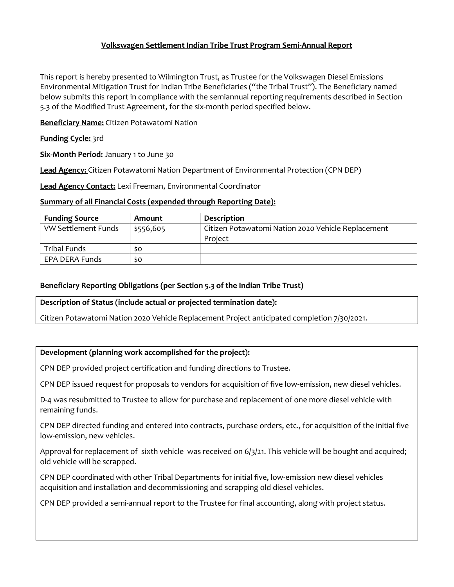# **Volkswagen Settlement Indian Tribe Trust Program Semi-Annual Report**

This report is hereby presented to Wilmington Trust, as Trustee for the Volkswagen Diesel Emissions Environmental Mitigation Trust for Indian Tribe Beneficiaries ("the Tribal Trust"). The Beneficiary named below submits this report in compliance with the semiannual reporting requirements described in Section 5.3 of the Modified Trust Agreement, for the six-month period specified below.

**Beneficiary Name:** Citizen Potawatomi Nation

#### **Funding Cycle:** 3rd

**Six-Month Period:** January 1 to June 30

**Lead Agency:** Citizen Potawatomi Nation Department of Environmental Protection (CPN DEP)

**Lead Agency Contact:** Lexi Freeman, Environmental Coordinator

#### **Summary of all Financial Costs (expended through Reporting Date):**

| <b>Funding Source</b> | Amount    | <b>Description</b>                                 |
|-----------------------|-----------|----------------------------------------------------|
| VW Settlement Funds   | \$556,605 | Citizen Potawatomi Nation 2020 Vehicle Replacement |
|                       |           | Project                                            |
| Tribal Funds          | so        |                                                    |
| EPA DERA Funds        | so        |                                                    |

# **Beneficiary Reporting Obligations (per Section 5.3 of the Indian Tribe Trust)**

#### **Description of Status (include actual or projected termination date):**

Citizen Potawatomi Nation 2020 Vehicle Replacement Project anticipated completion 7/30/2021.

# **Development (planning work accomplished for the project):**

CPN DEP provided project certification and funding directions to Trustee.

CPN DEP issued request for proposals to vendors for acquisition of five low-emission, new diesel vehicles.

D-4 was resubmitted to Trustee to allow for purchase and replacement of one more diesel vehicle with remaining funds.

CPN DEP directed funding and entered into contracts, purchase orders, etc., for acquisition of the initial five low-emission, new vehicles.

Approval for replacement of sixth vehicle was received on 6/3/21. This vehicle will be bought and acquired; old vehicle will be scrapped.

CPN DEP coordinated with other Tribal Departments for initial five, low-emission new diesel vehicles acquisition and installation and decommissioning and scrapping old diesel vehicles.

CPN DEP provided a semi-annual report to the Trustee for final accounting, along with project status.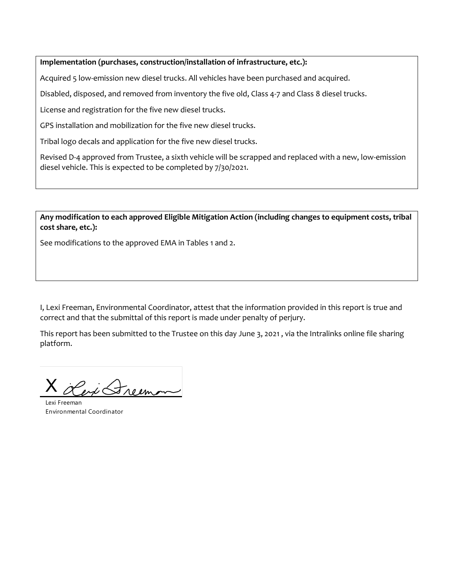**Implementation (purchases, construction/installation of infrastructure, etc.):** 

Acquired 5 low-emission new diesel trucks. All vehicles have been purchased and acquired.

Disabled, disposed, and removed from inventory the five old, Class 4-7 and Class 8 diesel trucks.

License and registration for the five new diesel trucks.

GPS installation and mobilization for the five new diesel trucks.

Tribal logo decals and application for the five new diesel trucks.

Revised D-4 approved from Trustee, a sixth vehicle will be scrapped and replaced with a new, low-emission diesel vehicle. This is expected to be completed by 7/30/2021.

**Any modification to each approved Eligible Mitigation Action (including changes to equipment costs, tribal cost share, etc.):** 

See modifications to the approved EMA in Tables 1 and 2.

I, Lexi Freeman, Environmental Coordinator, attest that the information provided in this report is true and correct and that the submittal of this report is made under penalty of perjury.

This report has been submitted to the Trustee on this day June 3, 2021 , via the Intralinks online file sharing platform.

X en Greenon

Lexi Freeman Environmental Coordinator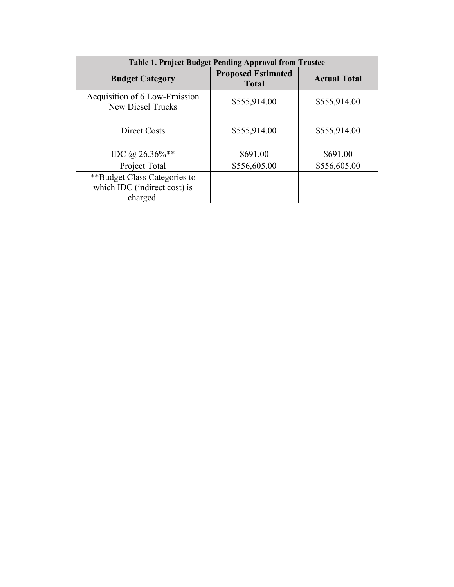| <b>Table 1. Project Budget Pending Approval from Trustee</b> |                                           |                     |  |  |  |  |  |  |
|--------------------------------------------------------------|-------------------------------------------|---------------------|--|--|--|--|--|--|
| <b>Budget Category</b>                                       | <b>Proposed Estimated</b><br><b>Total</b> | <b>Actual Total</b> |  |  |  |  |  |  |
| Acquisition of 6 Low-Emission<br><b>New Diesel Trucks</b>    | \$555,914.00                              | \$555,914.00        |  |  |  |  |  |  |
| Direct Costs                                                 | \$555,914.00                              | \$555,914.00        |  |  |  |  |  |  |
| IDC @ $26.36\%$ **                                           | \$691.00                                  | \$691.00            |  |  |  |  |  |  |
| Project Total                                                | \$556,605.00                              | \$556,605.00        |  |  |  |  |  |  |
| **Budget Class Categories to                                 |                                           |                     |  |  |  |  |  |  |
| which IDC (indirect cost) is                                 |                                           |                     |  |  |  |  |  |  |
| charged.                                                     |                                           |                     |  |  |  |  |  |  |